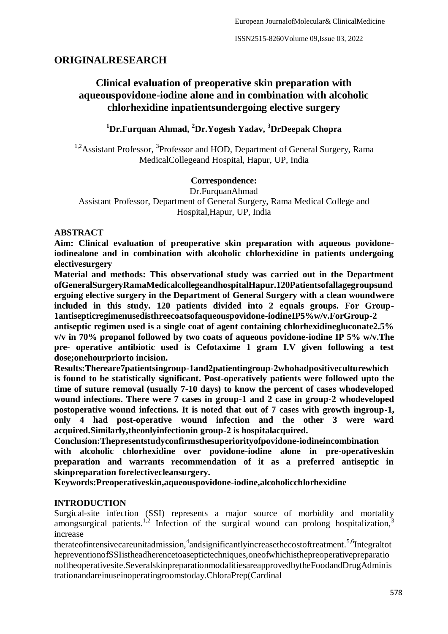# **ORIGINALRESEARCH**

# **Clinical evaluation of preoperative skin preparation with aqueouspovidone-iodine alone and in combination with alcoholic chlorhexidine inpatientsundergoing elective surgery**

**<sup>1</sup>Dr.Furquan Ahmad, <sup>2</sup>Dr.Yogesh Yadav, <sup>3</sup>DrDeepak Chopra**

<sup>1,2</sup> Assistant Professor, <sup>3</sup> Professor and HOD, Department of General Surgery, Rama MedicalCollegeand Hospital, Hapur, UP, India

#### **Correspondence:**

Dr.FurquanAhmad Assistant Professor, Department of General Surgery, Rama Medical College and Hospital,Hapur, UP, India

# **ABSTRACT**

**Aim: Clinical evaluation of preoperative skin preparation with aqueous povidoneiodinealone and in combination with alcoholic chlorhexidine in patients undergoing electivesurgery**

**Material and methods: This observational study was carried out in the Department ofGeneralSurgeryRamaMedicalcollegeandhospitalHapur.120Patientsofallagegroupsund ergoing elective surgery in the Department of General Surgery with a clean woundwere included in this study. 120 patients divided into 2 equals groups. For Group-1antisepticregimenusedisthreecoatsofaqueouspovidone-iodineIP5%w/v.ForGroup-2** 

**antiseptic regimen used is a single coat of agent containing chlorhexidinegluconate2.5% v/v in 70% propanol followed by two coats of aqueous povidone-iodine IP 5% w/v.The pre- operative antibiotic used is Cefotaxime 1 gram I.V given following a test dose;onehourpriorto incision.**

**Results:Thereare7patientsingroup-1and2patientingroup-2whohadpositiveculturewhich is found to be statistically significant. Post-operatively patients were followed upto the time of suture removal (usually 7-10 days) to know the percent of cases whodeveloped wound infections. There were 7 cases in group-1 and 2 case in group-2 whodeveloped postoperative wound infections. It is noted that out of 7 cases with growth ingroup-1, only 4 had post-operative wound infection and the other 3 were ward acquired.Similarly,theonlyinfectionin group-2 is hospitalacquired.**

**Conclusion:Thepresentstudyconfirmsthesuperiorityofpovidone-iodineincombination with alcoholic chlorhexidine over povidone-iodine alone in pre-operativeskin preparation and warrants recommendation of it as a preferred antiseptic in skinpreparation forelectivecleansurgery.**

**Keywords:Preoperativeskin,aqueouspovidone-iodine,alcoholicchlorhexidine**

# **INTRODUCTION**

Surgical-site infection (SSI) represents a major source of morbidity and mortality amongsurgical patients.<sup>1,2</sup> Infection of the surgical wound can prolong hospitalization,  $\overline{3}$ increase

therateofintensivecareunitadmission,<sup>4</sup>andsignificantlyincreasethecostoftreatment.<sup>5,6</sup>Integraltot hepreventionofSSIistheadherencetoaseptictechniques,oneofwhichisthepreoperativepreparatio noftheoperativesite.SeveralskinpreparationmodalitiesareapprovedbytheFoodandDrugAdminis trationandareinuseinoperatingroomstoday.ChloraPrep(Cardinal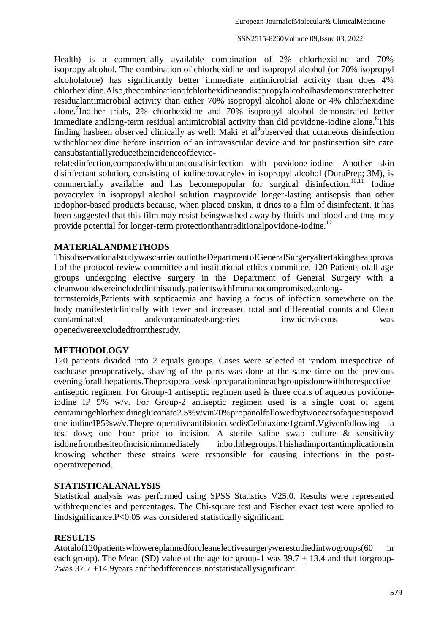#### ISSN2515-8260Volume 09,Issue 03, 2022

Health) is a commercially available combination of 2% chlorhexidine and 70% isopropylalcohol. The combination of chlorhexidine and isopropyl alcohol (or 70% isopropyl alcoholalone) has significantly better immediate antimicrobial activity than does 4% chlorhexidine.Also,thecombinationofchlorhexidineandisopropylalcoholhasdemonstratedbetter residualantimicrobial activity than either 70% isopropyl alcohol alone or 4% chlorhexidine alone.<sup>7</sup> Inother trials, 2% chlorhexidine and 70% isopropyl alcohol demonstrated better immediate andlong-term residual antimicrobial activity than did povidone-iodine alone.<sup>8</sup>This finding hasbeen observed clinically as well: Maki et al<sup>9</sup>observed that cutaneous disinfection withchlorhexidine before insertion of an intravascular device and for postinsertion site care cansubstantiallyreducetheincidenceofdevice-

relatedinfection,comparedwithcutaneousdisinfection with povidone-iodine. Another skin disinfectant solution, consisting of iodinepovacrylex in isopropyl alcohol (DuraPrep; 3M), is commercially available and has becomepopular for surgical disinfection.<sup>10,11</sup> Iodine povacrylex in isopropyl alcohol solution mayprovide longer-lasting antisepsis than other iodophor-based products because, when placed onskin, it dries to a film of disinfectant. It has been suggested that this film may resist beingwashed away by fluids and blood and thus may provide potential for longer-term protectionthant raditional povidone-iodine.<sup>12</sup>

# **MATERIALANDMETHODS**

ThisobservationalstudywascarriedoutintheDepartmentofGeneralSurgeryaftertakingtheapprova l of the protocol review committee and institutional ethics committee. 120 Patients ofall age groups undergoing elective surgery in the Department of General Surgery with a cleanwoundwereincludedinthisstudy.patientswithImmunocompromised,onlong-

termsteroids,Patients with septicaemia and having a focus of infection somewhere on the body manifestedclinically with fever and increased total and differential counts and Clean contaminated andcontaminatedsurgeries inwhichviscous was openedwereexcludedfromthestudy.

# **METHODOLOGY**

120 patients divided into 2 equals groups. Cases were selected at random irrespective of eachcase preoperatively, shaving of the parts was done at the same time on the previous eveningforallthepatients.Thepreoperativeskinpreparationineachgroupisdonewiththerespective antiseptic regimen. For Group-1 antiseptic regimen used is three coats of aqueous povidoneiodine IP 5% w/v. For Group-2 antiseptic regimen used is a single coat of agent containingchlorhexidinegluconate2.5%v/vin70%propanolfollowedbytwocoatsofaqueouspovid one-iodineIP5%w/v.Thepre-operativeantibioticusedisCefotaxime1gramI.Vgivenfollowing a test dose; one hour prior to incision. A sterile saline swab culture & sensitivity isdonefromthesiteofincisionimmediately inboththegroups.Thishadimportantimplicationsin knowing whether these strains were responsible for causing infections in the postoperativeperiod.

# **STATISTICALANALYSIS**

Statistical analysis was performed using SPSS Statistics V25.0. Results were represented withfrequencies and percentages. The Chi-square test and Fischer exact test were applied to findsignificance.P<0.05 was considered statistically significant.

# **RESULTS**

Atotalof120patientswhowereplannedforcleanelectivesurgerywerestudiedintwogroups(60 in each group). The Mean (SD) value of the age for group-1 was  $39.7 + 13.4$  and that forgroup-2was 37.7 +14.9years andthedifferenceis notstatisticallysignificant.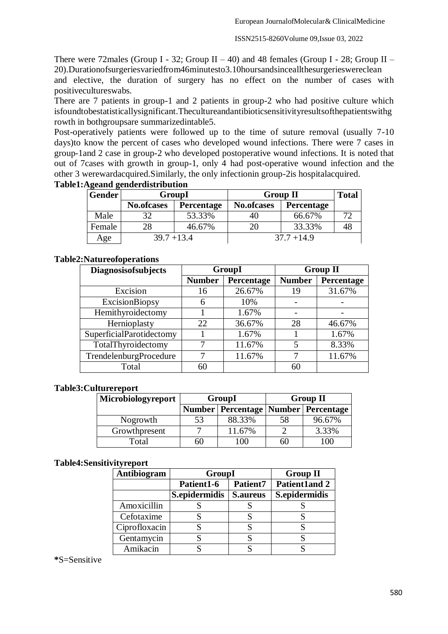There were 72males (Group I - 32; Group II – 40) and 48 females (Group I - 28; Group II – 20).Durationofsurgeriesvariedfrom46minutesto3.10hoursandsinceallthesurgerieswereclean

and elective, the duration of surgery has no effect on the number of cases with positivecultureswabs.

There are 7 patients in group-1 and 2 patients in group-2 who had positive culture which isfoundtobestatisticallysignificant.Thecultureandantibioticsensitivityresultsofthepatientswithg rowth in bothgroupsare summarizedintable5.

Post-operatively patients were followed up to the time of suture removal (usually 7-10 days)to know the percent of cases who developed wound infections. There were 7 cases in group-1and 2 case in group-2 who developed postoperative wound infections. It is noted that out of 7cases with growth in group-1, only 4 had post-operative wound infection and the other 3 werewardacquired.Similarly, the only infectionin group-2is hospitalacquired.

| <b>Gender</b> | GroupI            |                   | <b>Group II</b>   | <b>Total</b>      |    |
|---------------|-------------------|-------------------|-------------------|-------------------|----|
|               | <b>No.ofcases</b> | <b>Percentage</b> | <b>No.ofcases</b> | <b>Percentage</b> |    |
| Male          | 32                | 53.33%            | 40                | 66.67%            |    |
| Female        | 28                | 46.67%            | 20                | 33.33%            | 48 |
| Age           | $39.7 + 13.4$     |                   |                   | $37.7 + 14.9$     |    |

# **Table1:Ageand genderdistribution**

# **Table2:Natureofoperations**

| <b>Diagnosisofsubjects</b> | GroupI        |            | <b>Group II</b> |            |
|----------------------------|---------------|------------|-----------------|------------|
|                            | <b>Number</b> | Percentage | <b>Number</b>   | Percentage |
| Excision                   | 16            | 26.67%     | 19              | 31.67%     |
| <b>ExcisionBiopsy</b>      | 6             | 10%        |                 |            |
| Hemithyroidectomy          |               | 1.67%      |                 |            |
| Hernioplasty               | 22            | 36.67%     | 28              | 46.67%     |
| SuperficialParotidectomy   |               | 1.67%      |                 | 1.67%      |
| TotalThyroidectomy         |               | 11.67%     | 5               | 8.33%      |
| TrendelenburgProcedure     |               | 11.67%     |                 | 11.67%     |
| Total                      | 60            |            | 60              |            |

# **Table3:Culturereport**

| Microbiologyreport |                                           | GroupI | <b>Group II</b> |                |  |
|--------------------|-------------------------------------------|--------|-----------------|----------------|--|
|                    | Number   Percentage   Number   Percentage |        |                 |                |  |
| Nogrowth           | 53                                        | 88.33% | 58              | 96.67%         |  |
| Growthpresent      |                                           | 11.67% |                 | 3.33%          |  |
| Total              | 60                                        | -00    | hľ              | 0 <sup>0</sup> |  |

# **Table4:Sensitivityreport**

| Antibiogram   | GroupI        | <b>Group II</b> |                      |
|---------------|---------------|-----------------|----------------------|
|               | Patient1-6    | <b>Patient7</b> | <b>Patient1and 2</b> |
|               | S.epidermidis | <b>S.aureus</b> | S.epidermidis        |
| Amoxicillin   |               |                 |                      |
| Cefotaxime    |               |                 |                      |
| Ciprofloxacin |               |                 |                      |
| Gentamycin    |               |                 |                      |
| Amikacin      |               |                 |                      |

**\***S=Sensitive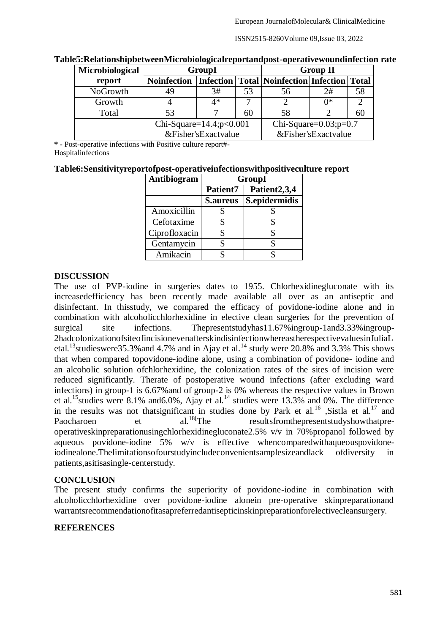ISSN2515-8260Volume 09,Issue 03, 2022

| Microbiological | GroupI                         |      | <b>Group II</b> |                                                            |                              |    |
|-----------------|--------------------------------|------|-----------------|------------------------------------------------------------|------------------------------|----|
| report          | <b>Noinfection</b>             |      |                 | <b>Infection   Total   Noinfection   Infection   Total</b> |                              |    |
| NoGrowth        | 49                             | 3#   | 53              | 56                                                         | 2#                           | 58 |
| Growth          |                                | $4*$ |                 |                                                            | ∩*                           |    |
| Total           | 53                             |      | 60              | 58                                                         |                              | 60 |
|                 | Chi-Square= $14.4$ ; $p<0.001$ |      |                 |                                                            | Chi-Square= $0.03$ ; $p=0.7$ |    |
|                 | &Fisher'sExactvalue            |      |                 |                                                            | &Fisher'sExactvalue          |    |

#### **Table5:RelationshipbetweenMicrobiologicalreportandpost-operativewoundinfection rate**

**\* -** Post-operative infections with Positive culture report#- **Hospitalinfections** 

# **Table6:Sensitivityreportofpost-operativeinfectionswithpositiveculture report**

| Antibiogram   | GroupI          |                          |  |  |
|---------------|-----------------|--------------------------|--|--|
|               | Patient7        | Patient <sub>2,3,4</sub> |  |  |
|               | <b>S.aureus</b> | S.epidermidis            |  |  |
| Amoxicillin   |                 |                          |  |  |
| Cefotaxime    |                 |                          |  |  |
| Ciprofloxacin | S               |                          |  |  |
| Gentamycin    |                 |                          |  |  |
| Amikacin      |                 |                          |  |  |

# **DISCUSSION**

The use of PVP-iodine in surgeries dates to 1955. Chlorhexidinegluconate with its increasedefficiency has been recently made available all over as an antiseptic and disinfectant. In thisstudy, we compared the efficacy of povidone-iodine alone and in combination with alcoholicchlorhexidine in elective clean surgeries for the prevention of surgical site infections. Thepresentstudyhas11.67% ingroup-1and3.33% ingroup-2hadcolonizationofsiteofincisionevenafterskindisinfectionwhereastherespectivevaluesinJuliaL etal.<sup>13</sup>studieswere35.3% and 4.7% and in Ajay et al.<sup>14</sup> study were 20.8% and 3.3% This shows that when compared topovidone-iodine alone, using a combination of povidone- iodine and an alcoholic solution ofchlorhexidine, the colonization rates of the sites of incision were reduced significantly. Therate of postoperative wound infections (after excluding ward infections) in group-1 is 6.67%and of group-2 is 0% whereas the respective values in Brown et al.<sup>15</sup>studies were 8.1% and 6.0%, Ajay et al.<sup>14</sup> studies were 13.3% and 0%. The difference in the results was not thatsignificant in studies done by Park et al.<sup>16</sup> ,Sistla et al.<sup>17</sup> and<br>Paocharoen et al.<sup>18[</sup>The resultsfrom the presentstudy show that pre-Paocharoen et al.<sup>18</sup>[The resultsfromthepresentstudyshowthatpreoperativeskinpreparationusingchlorhexidinegluconate2.5% v/v in 70%propanol followed by aqueous povidone-iodine 5% w/v is effective whencomparedwithaqueouspovidoneiodinealone.Thelimitationsofourstudyincludeconvenientsamplesizeandlack ofdiversity in patients,asitisasingle-centerstudy.

# **CONCLUSION**

The present study confirms the superiority of povidone-iodine in combination with alcoholicchlorhexidine over povidone-iodine alonein pre-operative skinpreparationand warrantsrecommendationofitasapreferredantisepticinskinpreparationforelectivecleansurgery.

# **REFERENCES**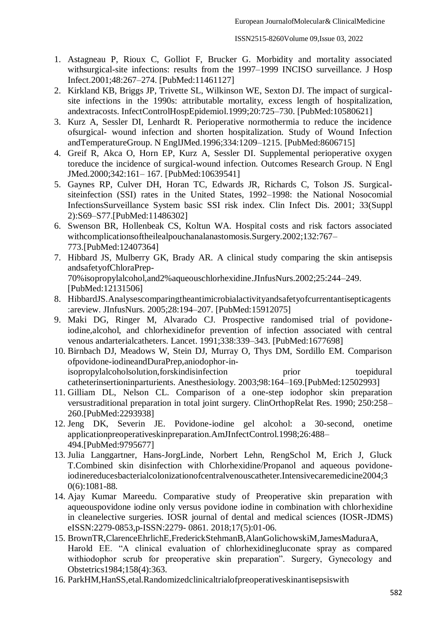- 1. Astagneau P, Rioux C, Golliot F, Brucker G. Morbidity and mortality associated withsurgical-site infections: results from the 1997–1999 INCISO surveillance. J Hosp Infect.2001;48:267–274. [PubMed:11461127]
- 2. Kirkland KB, Briggs JP, Trivette SL, Wilkinson WE, Sexton DJ. The impact of surgicalsite infections in the 1990s: attributable mortality, excess length of hospitalization, andextracosts. InfectControlHospEpidemiol.1999;20:725–730. [PubMed:10580621]
- 3. Kurz A, Sessler DI, Lenhardt R. Perioperative normothermia to reduce the incidence ofsurgical- wound infection and shorten hospitalization. Study of Wound Infection andTemperatureGroup. N EnglJMed.1996;334:1209–1215. [PubMed:8606715]
- 4. Greif R, Akca O, Horn EP, Kurz A, Sessler DI. Supplemental perioperative oxygen toreduce the incidence of surgical-wound infection. Outcomes Research Group. N Engl JMed.2000;342:161– 167. [PubMed:10639541]
- 5. Gaynes RP, Culver DH, Horan TC, Edwards JR, Richards C, Tolson JS. Surgicalsiteinfection (SSI) rates in the United States, 1992–1998: the National Nosocomial InfectionsSurveillance System basic SSI risk index. Clin Infect Dis. 2001; 33(Suppl 2):S69–S77.[PubMed:11486302]
- 6. Swenson BR, Hollenbeak CS, Koltun WA. Hospital costs and risk factors associated withcomplicationsoftheilealpouchanalanastomosis.Surgery.2002;132:767– 773.[PubMed:12407364]
- 7. Hibbard JS, Mulberry GK, Brady AR. A clinical study comparing the skin antisepsis andsafetyofChloraPrep-70%isopropylalcohol,and2%aqueouschlorhexidine.JInfusNurs.2002;25:244–249. [PubMed:12131506]
- 8. HibbardJS.Analysescomparingtheantimicrobialactivityandsafetyofcurrentantisepticagents :areview. JInfusNurs. 2005;28:194–207. [PubMed:15912075]
- 9. Maki DG, Ringer M, Alvarado CJ. Prospective randomised trial of povidoneiodine,alcohol, and chlorhexidinefor prevention of infection associated with central venous andarterialcatheters. Lancet. 1991;338:339–343. [PubMed:1677698]
- 10. Birnbach DJ, Meadows W, Stein DJ, Murray O, Thys DM, Sordillo EM. Comparison ofpovidone-iodineandDuraPrep,aniodophor-inisopropylalcoholsolution,forskindisinfection prior prior toepidural catheterinsertioninparturients. Anesthesiology. 2003;98:164–169.[PubMed:12502993]
- 11. Gilliam DL, Nelson CL. Comparison of a one-step iodophor skin preparation versustraditional preparation in total joint surgery. ClinOrthopRelat Res. 1990; 250:258– 260.[PubMed:2293938]
- 12. Jeng DK, Severin JE. Povidone-iodine gel alcohol: a 30-second, onetime applicationpreoperativeskinpreparation.AmJInfectControl.1998;26:488– 494.[PubMed:9795677]
- 13. Julia Langgartner, Hans-JorgLinde, Norbert Lehn, RengSchol M, Erich J, Gluck T.Combined skin disinfection with Chlorhexidine/Propanol and aqueous povidoneiodinereducesbacterialcolonizationofcentralvenouscatheter.Intensivecaremedicine2004;3 0(6):1081-88.
- 14. Ajay Kumar Mareedu. Comparative study of Preoperative skin preparation with aqueouspovidone iodine only versus povidone iodine in combination with chlorhexidine in cleanelective surgeries. IOSR journal of dental and medical sciences (IOSR-JDMS) eISSN:2279-0853,p-ISSN:2279- 0861. 2018;17(5):01-06.
- 15. BrownTR,ClarenceEhrlichE,FrederickStehmanB,AlanGolichowskiM,JamesMaduraA, Harold EE. "A clinical evaluation of chlorhexidinegluconate spray as compared withiodophor scrub for preoperative skin preparation". Surgery, Gynecology and Obstetrics1984;158(4):363.
- 16. ParkHM,HanSS,etal.Randomizedclinicaltrialofpreoperativeskinantisepsiswith